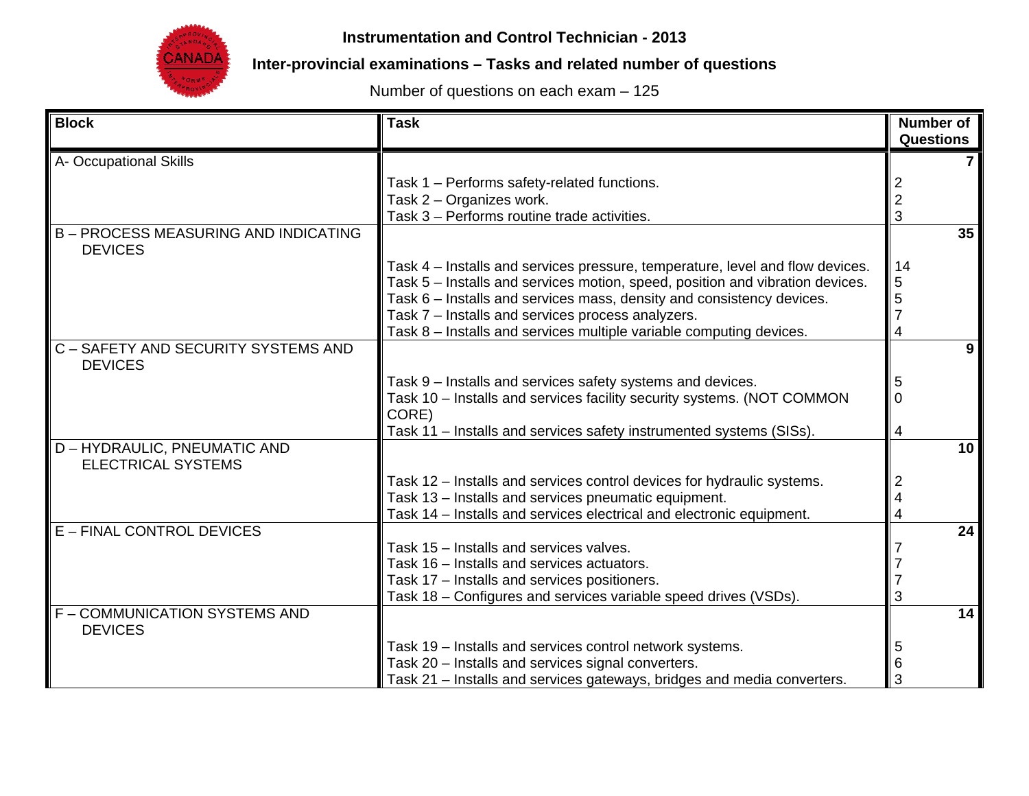

**Instrumentation and Control Technician - 2013**

**Inter-provincial examinations – Tasks and related number of questions** 

Number of questions on each exam – 125

| <b>Block</b>                                                | <b>Task</b>                                                                     | <b>Number of</b><br><b>Questions</b> |
|-------------------------------------------------------------|---------------------------------------------------------------------------------|--------------------------------------|
| A- Occupational Skills                                      |                                                                                 |                                      |
|                                                             | Task 1 - Performs safety-related functions.                                     |                                      |
|                                                             | Task 2 - Organizes work.                                                        | $\overline{2}$                       |
|                                                             | Task 3 - Performs routine trade activities.                                     | 3                                    |
| <b>B-PROCESS MEASURING AND INDICATING</b><br><b>DEVICES</b> |                                                                                 | 35                                   |
|                                                             | Task 4 – Installs and services pressure, temperature, level and flow devices.   | 14                                   |
|                                                             | Task 5 - Installs and services motion, speed, position and vibration devices.   | 5                                    |
|                                                             | Task 6 - Installs and services mass, density and consistency devices.           | 5                                    |
|                                                             | Task 7 - Installs and services process analyzers.                               | 7                                    |
|                                                             | Task 8 - Installs and services multiple variable computing devices.             | 4                                    |
| C - SAFETY AND SECURITY SYSTEMS AND<br><b>DEVICES</b>       |                                                                                 | 9                                    |
|                                                             | Task 9 - Installs and services safety systems and devices.                      | 5                                    |
|                                                             | Task 10 - Installs and services facility security systems. (NOT COMMON<br>CORE) | $\overline{0}$                       |
|                                                             | Task 11 - Installs and services safety instrumented systems (SISs).             | 4                                    |
| D - HYDRAULIC, PNEUMATIC AND<br><b>ELECTRICAL SYSTEMS</b>   |                                                                                 | 10 <sup>1</sup>                      |
|                                                             | Task 12 - Installs and services control devices for hydraulic systems.          |                                      |
|                                                             | Task 13 - Installs and services pneumatic equipment.                            |                                      |
|                                                             | Task 14 - Installs and services electrical and electronic equipment.            | 4                                    |
| <b>E-FINAL CONTROL DEVICES</b>                              |                                                                                 | 24                                   |
|                                                             | Task 15 - Installs and services valves.                                         |                                      |
|                                                             | Task 16 - Installs and services actuators.                                      |                                      |
|                                                             | Task 17 - Installs and services positioners.                                    |                                      |
|                                                             | Task 18 - Configures and services variable speed drives (VSDs).                 |                                      |
| F - COMMUNICATION SYSTEMS AND<br><b>DEVICES</b>             |                                                                                 | 14                                   |
|                                                             | Task 19 - Installs and services control network systems.                        | 5                                    |
|                                                             | Task 20 - Installs and services signal converters.                              | 6                                    |
|                                                             | Task 21 - Installs and services gateways, bridges and media converters.         | 3                                    |